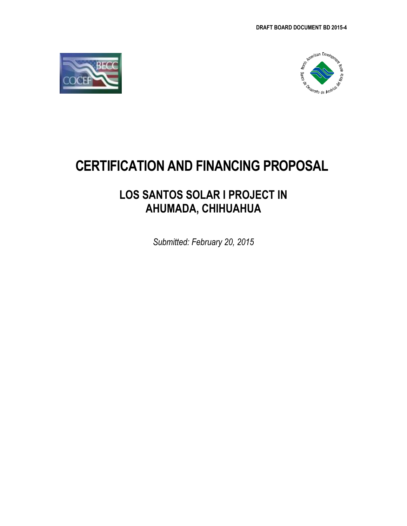



# **CERTIFICATION AND FINANCING PROPOSAL**

# **LOS SANTOS SOLAR I PROJECT IN AHUMADA, CHIHUAHUA**

*Submitted: February 20, 2015*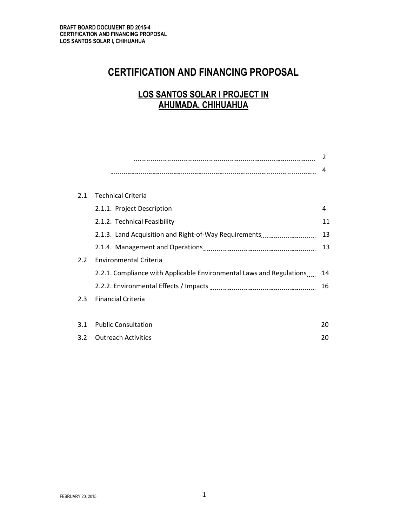# **CERTIFICATION AND FINANCING PROPOSAL**

# **LOS SANTOS SOLAR I PROJECT IN AHUMADA, CHIHUAHUA**

|     |                                                                      | 4  |
|-----|----------------------------------------------------------------------|----|
| 2.1 | <b>Technical Criteria</b>                                            |    |
|     |                                                                      | 4  |
|     |                                                                      | 11 |
|     | 2.1.3. Land Acquisition and Right-of-Way Requirements                | 13 |
|     |                                                                      | 13 |
| 2.2 | <b>Environmental Criteria</b>                                        |    |
|     | 2.2.1. Compliance with Applicable Environmental Laws and Regulations | 14 |
|     |                                                                      | 16 |
| 2.3 | <b>Financial Criteria</b>                                            |    |
|     |                                                                      |    |
| 3.1 |                                                                      | 20 |
| 3.2 |                                                                      | 20 |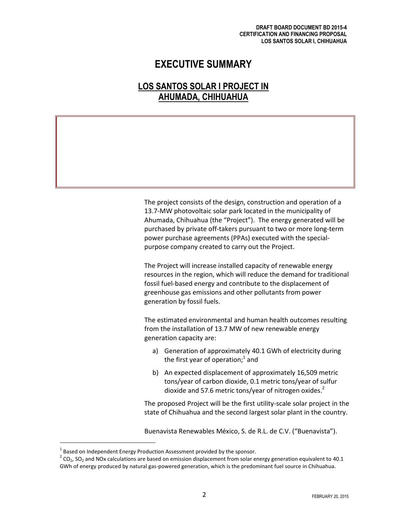# **EXECUTIVE SUMMARY**

# **LOS SANTOS SOLAR I PROJECT IN AHUMADA, CHIHUAHUA**

**Project** The project consists of the design, construction and operation of a 13.7-MW photovoltaic solar park located in the municipality of Ahumada, Chihuahua (the "Project"). The energy generated will be purchased by private off-takers pursuant to two or more long‐term power purchase agreements (PPAs) executed with the specialpurpose company created to carry out the Project.

The Project will increase installed capacity of renewable energy resources in the region, which will reduce the demand for traditional fossil fuel-based energy and contribute to the displacement of greenhouse gas emissions and other pollutants from power generation by fossil fuels.

The estimated environmental and human health outcomes resulting from the installation of 13.7 MW of new renewable energy generation capacity are:

- a) Generation of approximately 40.1 GWh of electricity during the first year of operation;<sup>1</sup> and
- b) An expected displacement of approximately 16,509 metric tons/year of carbon dioxide, 0.1 metric tons/year of sulfur dioxide and 57.6 metric tons/year of nitrogen oxides.<sup>2</sup>

The proposed Project will be the first utility-scale solar project in the state of Chihuahua and the second largest solar plant in the country.

**Sponsor** Buenavista Renewables México, S. de R.L. de C.V. ("Buenavista").

 $^{1}$  Based on Independent Energy Production Assessment provided by the sponsor.

 $^2$  CO<sub>2</sub>, SO<sub>2</sub> and NOx calculations are based on emission displacement from solar energy generation equivalent to 40.1 GWh of energy produced by natural gas-powered generation, which is the predominant fuel source in Chihuahua.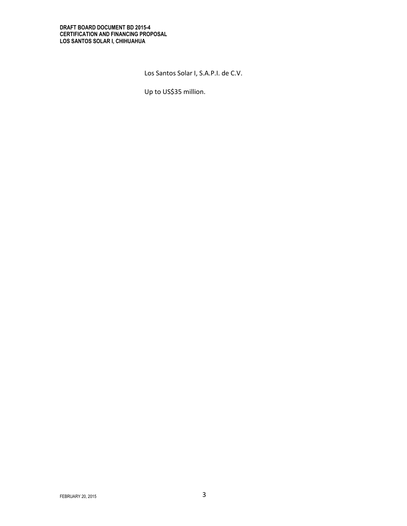#### **DRAFT BOARD DOCUMENT BD 2015-4 CERTIFICATION AND FINANCING PROPOSAL LOS SANTOS SOLAR I, CHIHUAHUA**

Los Santos Solar I, S.A.P.I. de C.V.

Up to US\$35 million.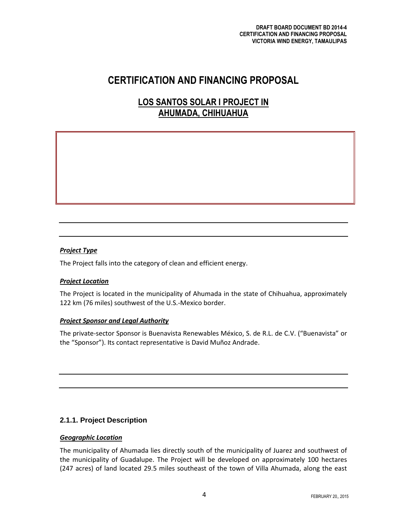# **CERTIFICATION AND FINANCING PROPOSAL**

# **LOS SANTOS SOLAR I PROJECT IN AHUMADA, CHIHUAHUA**

# *Project Type*

The Project falls into the category of clean and efficient energy.

# *Project Location*

The Project is located in the municipality of Ahumada in the state of Chihuahua, approximately 122 km (76 miles) southwest of the U.S.-Mexico border.

## *Project Sponsor and Legal Authority*

The private-sector Sponsor is Buenavista Renewables México, S. de R.L. de C.V. ("Buenavista" or the "Sponsor"). Its contact representative is David Muñoz Andrade.

# **2.1.1. Project Description**

## *Geographic Location*

The municipality of Ahumada lies directly south of the municipality of Juarez and southwest of the municipality of Guadalupe. The Project will be developed on approximately 100 hectares (247 acres) of land located 29.5 miles southeast of the town of Villa Ahumada, along the east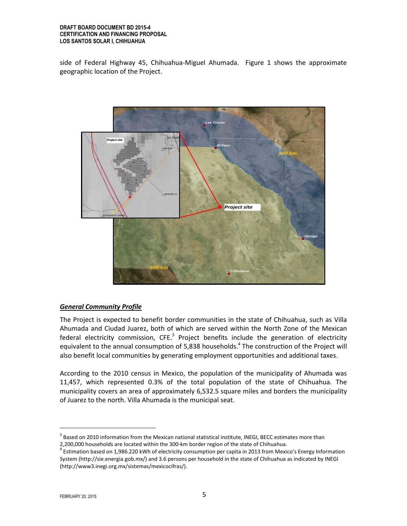#### **DRAFT BOARD DOCUMENT BD 2015-4 CERTIFICATION AND FINANCING PROPOSAL LOS SANTOS SOLAR I, CHIHUAHUA**

side of Federal Highway 45, Chihuahua-Miguel Ahumada. Figure 1 shows the approximate geographic location of the Project.



## *General Community Profile*

The Project is expected to benefit border communities in the state of Chihuahua, such as Villa Ahumada and Ciudad Juarez, both of which are served within the North Zone of the Mexican federal electricity commission, CFE.<sup>3</sup> Project benefits include the generation of electricity equivalent to the annual consumption of 5,838 households.<sup>4</sup> The construction of the Project will also benefit local communities by generating employment opportunities and additional taxes.

According to the 2010 census in Mexico, the population of the municipality of Ahumada was 11,457, which represented 0.3% of the total population of the state of Chihuahua. The municipality covers an area of approximately 6,532.5 square miles and borders the municipality of Juarez to the north. Villa Ahumada is the municipal seat.

 $^3$  Based on 2010 information from the Mexican national statistical institute, INEGI, BECC estimates more than 2,200,000 households are located within the 300-km border region of the state of Chihuahua.

<sup>&</sup>lt;sup>4</sup> Estimation based on 1,986.220 kWh of electricity consumption per capita in 2013 from Mexico's Energy Information System (http://sie.energia.gob.mx/) and 3.6 persons per household in the state of Chihuahua as indicated by INEGI (http://www3.inegi.org.mx/sistemas/mexicocifras/).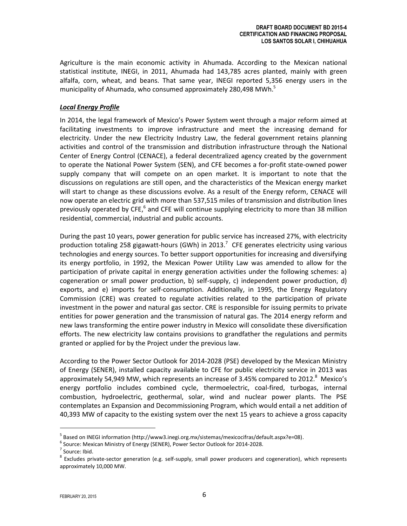Agriculture is the main economic activity in Ahumada. According to the Mexican national statistical institute, INEGI, in 2011, Ahumada had 143,785 acres planted, mainly with green alfalfa, corn, wheat, and beans. That same year, INEGI reported 5,356 energy users in the municipality of Ahumada, who consumed approximately 280,498 MWh. $^5$ 

# *Local Energy Profile*

In 2014, the legal framework of Mexico's Power System went through a major reform aimed at facilitating investments to improve infrastructure and meet the increasing demand for electricity. Under the new Electricity Industry Law, the federal government retains planning activities and control of the transmission and distribution infrastructure through the National Center of Energy Control (CENACE), a federal decentralized agency created by the government to operate the National Power System (SEN), and CFE becomes a for-profit state-owned power supply company that will compete on an open market. It is important to note that the discussions on regulations are still open, and the characteristics of the Mexican energy market will start to change as these discussions evolve. As a result of the Energy reform, CENACE will now operate an electric grid with more than 537,515 miles of transmission and distribution lines previously operated by CFE,<sup>6</sup> and CFE will continue supplying electricity to more than 38 million residential, commercial, industrial and public accounts.

During the past 10 years, power generation for public service has increased 27%, with electricity production totaling 258 gigawatt-hours (GWh) in 2013.<sup>7</sup> CFE generates electricity using various technologies and energy sources. To better support opportunities for increasing and diversifying its energy portfolio, in 1992, the Mexican Power Utility Law was amended to allow for the participation of private capital in energy generation activities under the following schemes: a) cogeneration or small power production, b) self-supply, c) independent power production, d) exports, and e) imports for self-consumption. Additionally, in 1995, the Energy Regulatory Commission (CRE) was created to regulate activities related to the participation of private investment in the power and natural gas sector. CRE is responsible for issuing permits to private entities for power generation and the transmission of natural gas. The 2014 energy reform and new laws transforming the entire power industry in Mexico will consolidate these diversification efforts. The new electricity law contains provisions to grandfather the regulations and permits granted or applied for by the Project under the previous law.

According to the Power Sector Outlook for 2014-2028 (PSE) developed by the Mexican Ministry of Energy (SENER), installed capacity available to CFE for public electricity service in 2013 was approximately 54,949 MW, which represents an increase of 3.45% compared to 2012. $^8$  Mexico's energy portfolio includes combined cycle, thermoelectric, coal-fired, turbogas, internal combustion, hydroelectric, geothermal, solar, wind and nuclear power plants. The PSE contemplates an Expansion and Decommissioning Program, which would entail a net addition of 40,393 MW of capacity to the existing system over the next 15 years to achieve a gross capacity

<sup>&</sup>lt;sup>5</sup> Based on INEGI information (http://www3.inegi.org.mx/sistemas/mexicocifras/default.aspx?e=08).

<sup>&</sup>lt;sup>6</sup> Source: Mexican Ministry of Energy (SENER), Power Sector Outlook for 2014-2028.

<sup>&</sup>lt;sup>7</sup> Source: Ibid.

<sup>&</sup>lt;sup>8</sup> Excludes private-sector generation (e.g. self-supply, small power producers and cogeneration), which represents approximately 10,000 MW.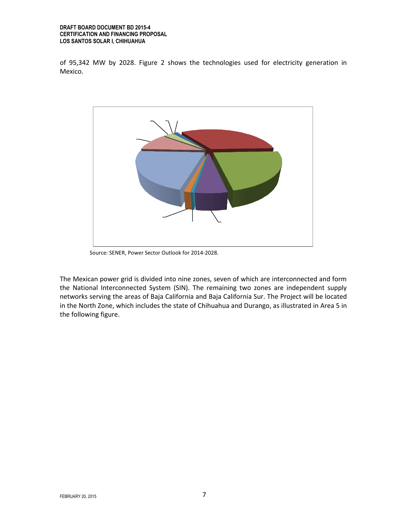of 95,342 MW by 2028. Figure 2 shows the technologies used for electricity generation in Mexico.



Source: SENER, Power Sector Outlook for 2014-2028.

The Mexican power grid is divided into nine zones, seven of which are interconnected and form the National Interconnected System (SIN). The remaining two zones are independent supply networks serving the areas of Baja California and Baja California Sur. The Project will be located in the North Zone, which includes the state of Chihuahua and Durango, as illustrated in Area 5 in the following figure.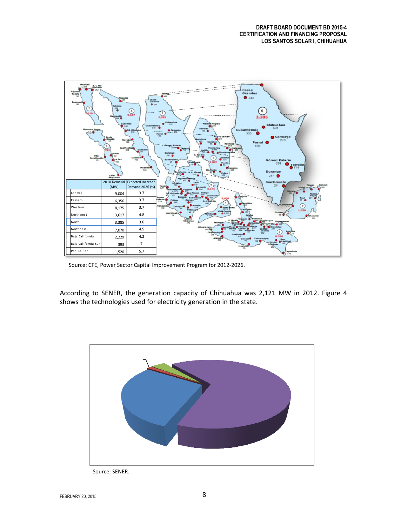

Source: CFE, Power Sector Capital Improvement Program for 2012-2026.

According to SENER, the generation capacity of Chihuahua was 2,121 MW in 2012. Figure 4 shows the technologies used for electricity generation in the state.



Source: SENER.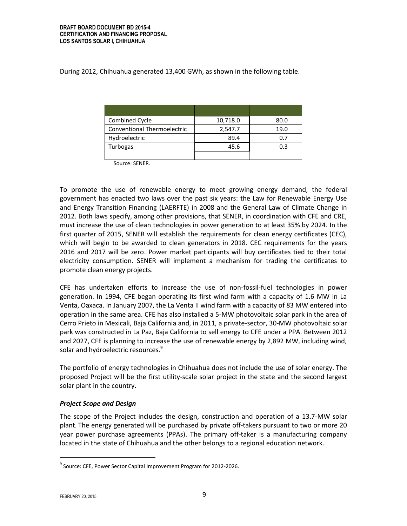During 2012, Chihuahua generated 13,400 GWh, as shown in the following table.

| Combined Cycle                     | 10,718.0 | 80.0 |
|------------------------------------|----------|------|
| <b>Conventional Thermoelectric</b> | 2,547.7  | 19.0 |
| Hydroelectric                      | 89.4     | 0.7  |
| Turbogas                           | 45.6     | 0.3  |
|                                    |          |      |

Source: SENER.

To promote the use of renewable energy to meet growing energy demand, the federal government has enacted two laws over the past six years: the Law for Renewable Energy Use and Energy Transition Financing (LAERFTE) in 2008 and the General Law of Climate Change in 2012. Both laws specify, among other provisions, that SENER, in coordination with CFE and CRE, must increase the use of clean technologies in power generation to at least 35% by 2024. In the first quarter of 2015, SENER will establish the requirements for clean energy certificates (CEC), which will begin to be awarded to clean generators in 2018. CEC requirements for the years 2016 and 2017 will be zero. Power market participants will buy certificates tied to their total electricity consumption. SENER will implement a mechanism for trading the certificates to promote clean energy projects.

CFE has undertaken efforts to increase the use of non-fossil-fuel technologies in power generation. In 1994, CFE began operating its first wind farm with a capacity of 1.6 MW in La Venta, Oaxaca. In January 2007, the La Venta II wind farm with a capacity of 83 MW entered into operation in the same area. CFE has also installed a 5-MW photovoltaic solar park in the area of Cerro Prieto in Mexicali, Baja California and, in 2011, a private-sector, 30-MW photovoltaic solar park was constructed in La Paz, Baja California to sell energy to CFE under a PPA. Between 2012 and 2027, CFE is planning to increase the use of renewable energy by 2,892 MW, including wind, solar and hydroelectric resources.<sup>9</sup>

The portfolio of energy technologies in Chihuahua does not include the use of solar energy. The proposed Project will be the first utility-scale solar project in the state and the second largest solar plant in the country.

## *Project Scope and Design*

The scope of the Project includes the design, construction and operation of a 13.7-MW solar plant. The energy generated will be purchased by private off-takers pursuant to two or more 20 year power purchase agreements (PPAs). The primary off-taker is a manufacturing company located in the state of Chihuahua and the other belongs to a regional education network.

 $\overline{a}$ 

<sup>&</sup>lt;sup>9</sup> Source: CFE, Power Sector Capital Improvement Program for 2012-2026.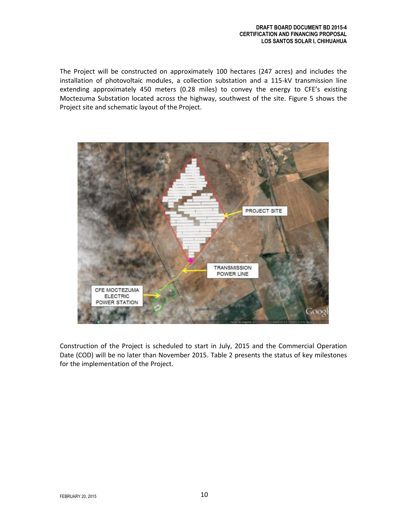The Project will be constructed on approximately 100 hectares (247 acres) and includes the installation of photovoltaic modules, a collection substation and a 115-kV transmission line extending approximately 450 meters (0.28 miles) to convey the energy to CFE's existing Moctezuma Substation located across the highway, southwest of the site. Figure 5 shows the Project site and schematic layout of the Project.



Construction of the Project is scheduled to start in July, 2015 and the Commercial Operation Date (COD) will be no later than November 2015. Table 2 presents the status of key milestones for the implementation of the Project.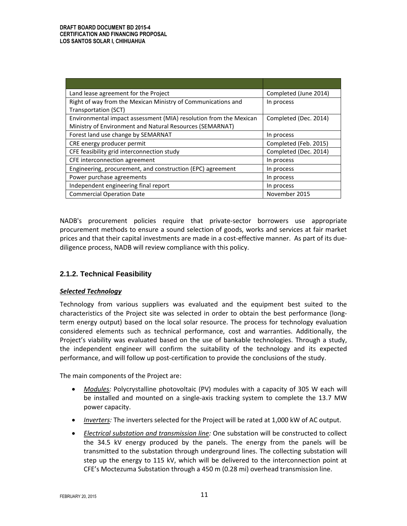| Land lease agreement for the Project                              | Completed (June 2014) |
|-------------------------------------------------------------------|-----------------------|
| Right of way from the Mexican Ministry of Communications and      | In process            |
| Transportation (SCT)                                              |                       |
| Environmental impact assessment (MIA) resolution from the Mexican | Completed (Dec. 2014) |
| Ministry of Environment and Natural Resources (SEMARNAT)          |                       |
| Forest land use change by SEMARNAT                                | In process            |
| CRE energy producer permit                                        | Completed (Feb. 2015) |
| CFE feasibility grid interconnection study                        | Completed (Dec. 2014) |
| CFE interconnection agreement                                     | In process            |
| Engineering, procurement, and construction (EPC) agreement        | In process            |
| Power purchase agreements                                         | In process            |
| Independent engineering final report                              | In process            |
| <b>Commercial Operation Date</b>                                  | November 2015         |

NADB's procurement policies require that private-sector borrowers use appropriate procurement methods to ensure a sound selection of goods, works and services at fair market prices and that their capital investments are made in a cost-effective manner. As part of its duediligence process, NADB will review compliance with this policy.

# **2.1.2. Technical Feasibility**

## *Selected Technology*

Technology from various suppliers was evaluated and the equipment best suited to the characteristics of the Project site was selected in order to obtain the best performance (longterm energy output) based on the local solar resource. The process for technology evaluation considered elements such as technical performance, cost and warranties. Additionally, the Project's viability was evaluated based on the use of bankable technologies. Through a study, the independent engineer will confirm the suitability of the technology and its expected performance, and will follow up post-certification to provide the conclusions of the study.

The main components of the Project are:

- *Modules:* Polycrystalline photovoltaic (PV) modules with a capacity of 305 W each will be installed and mounted on a single-axis tracking system to complete the 13.7 MW power capacity.
- *Inverters:* The inverters selected for the Project will be rated at 1,000 kW of AC output.
- *Electrical substation and transmission line:* One substation will be constructed to collect the 34.5 kV energy produced by the panels. The energy from the panels will be transmitted to the substation through underground lines. The collecting substation will step up the energy to 115 kV, which will be delivered to the interconnection point at CFE's Moctezuma Substation through a 450 m (0.28 mi) overhead transmission line.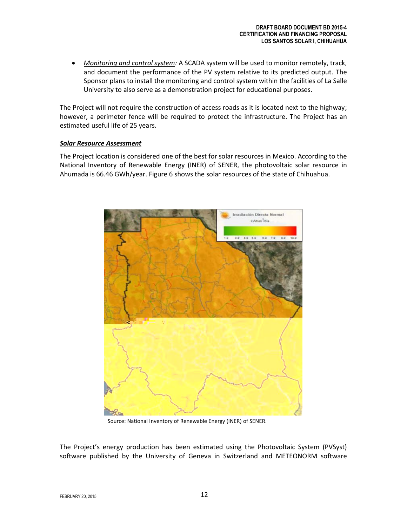*Monitoring and control system:* A SCADA system will be used to monitor remotely, track, and document the performance of the PV system relative to its predicted output. The Sponsor plans to install the monitoring and control system within the facilities of La Salle University to also serve as a demonstration project for educational purposes.

The Project will not require the construction of access roads as it is located next to the highway; however, a perimeter fence will be required to protect the infrastructure. The Project has an estimated useful life of 25 years.

## *Solar Resource Assessment*

The Project location is considered one of the best for solar resources in Mexico. According to the National Inventory of Renewable Energy (INER) of SENER, the photovoltaic solar resource in Ahumada is 66.46 GWh/year. Figure 6 shows the solar resources of the state of Chihuahua.



Source: National Inventory of Renewable Energy (INER) of SENER.

The Project's energy production has been estimated using the Photovoltaic System (PVSyst) software published by the University of Geneva in Switzerland and METEONORM software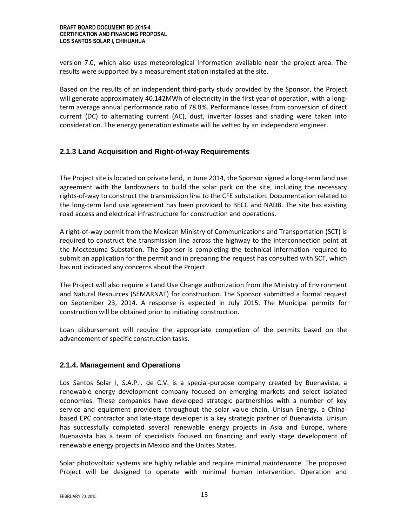version 7.0, which also uses meteorological information available near the project area. The results were supported by a measurement station installed at the site.

Based on the results of an independent third-party study provided by the Sponsor, the Project will generate approximately 40,142MWh of electricity in the first year of operation, with a longterm average annual performance ratio of 78.8%. Performance losses from conversion of direct current (DC) to alternating current (AC), dust, inverter losses and shading were taken into consideration. The energy generation estimate will be vetted by an independent engineer.

# **2.1.3 Land Acquisition and Right-of-way Requirements**

The Project site is located on private land, in June 2014, the Sponsor signed a long-term land use agreement with the landowners to build the solar park on the site, including the necessary rights-of-way to construct the transmission line to the CFE substation. Documentation related to the long-term land use agreement has been provided to BECC and NADB. The site has existing road access and electrical infrastructure for construction and operations.

A right-of-way permit from the Mexican Ministry of Communications and Transportation (SCT) is required to construct the transmission line across the highway to the interconnection point at the Moctezuma Substation. The Sponsor is completing the technical information required to submit an application for the permit and in preparing the request has consulted with SCT, which has not indicated any concerns about the Project.

The Project will also require a Land Use Change authorization from the Ministry of Environment and Natural Resources (SEMARNAT) for construction. The Sponsor submitted a formal request on September 23, 2014. A response is expected in July 2015. The Municipal permits for construction will be obtained prior to initiating construction.

Loan disbursement will require the appropriate completion of the permits based on the advancement of specific construction tasks.

# **2.1.4. Management and Operations**

Los Santos Solar I, S.A.P.I. de C.V. is a special-purpose company created by Buenavista, a renewable energy development company focused on emerging markets and select isolated economies. These companies have developed strategic partnerships with a number of key service and equipment providers throughout the solar value chain. Unisun Energy, a Chinabased EPC contractor and late-stage developer is a key strategic partner of Buenavista. Unisun has successfully completed several renewable energy projects in Asia and Europe, where Buenavista has a team of specialists focused on financing and early stage development of renewable energy projects in Mexico and the Unites States.

Solar photovoltaic systems are highly reliable and require minimal maintenance. The proposed Project will be designed to operate with minimal human intervention. Operation and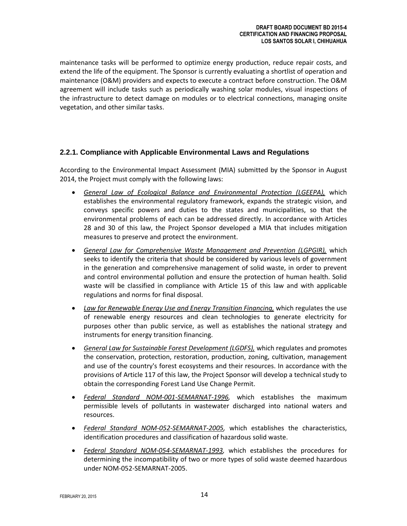maintenance tasks will be performed to optimize energy production, reduce repair costs, and extend the life of the equipment. The Sponsor is currently evaluating a shortlist of operation and maintenance (O&M) providers and expects to execute a contract before construction. The O&M agreement will include tasks such as periodically washing solar modules, visual inspections of the infrastructure to detect damage on modules or to electrical connections, managing onsite vegetation, and other similar tasks.

# **2.2.1. Compliance with Applicable Environmental Laws and Regulations**

According to the Environmental Impact Assessment (MIA) submitted by the Sponsor in August 2014, the Project must comply with the following laws:

- *General Law of Ecological Balance and Environmental Protection (LGEEPA),* which establishes the environmental regulatory framework, expands the strategic vision, and conveys specific powers and duties to the states and municipalities, so that the environmental problems of each can be addressed directly. In accordance with Articles 28 and 30 of this law, the Project Sponsor developed a MIA that includes mitigation measures to preserve and protect the environment.
- *General Law for Comprehensive Waste Management and Prevention (LGPGIR),* which seeks to identify the criteria that should be considered by various levels of government in the generation and comprehensive management of solid waste, in order to prevent and control environmental pollution and ensure the protection of human health. Solid waste will be classified in compliance with Article 15 of this law and with applicable regulations and norms for final disposal.
- *Law for Renewable Energy Use and Energy Transition Financing,* which regulates the use of renewable energy resources and clean technologies to generate electricity for purposes other than public service, as well as establishes the national strategy and instruments for energy transition financing.
- *General Law for Sustainable Forest Development (LGDFS),* which regulates and promotes the conservation, protection, restoration, production, zoning, cultivation, management and use of the country's forest ecosystems and their resources. In accordance with the provisions of Article 117 of this law, the Project Sponsor will develop a technical study to obtain the corresponding Forest Land Use Change Permit.
- *Federal Standard NOM-001-SEMARNAT-1996,* which establishes the maximum permissible levels of pollutants in wastewater discharged into national waters and resources.
- *Federal Standard NOM-052-SEMARNAT-2005,* which establishes the characteristics, identification procedures and classification of hazardous solid waste.
- *Federal Standard NOM-054-SEMARNAT-1993,* which establishes the procedures for determining the incompatibility of two or more types of solid waste deemed hazardous under NOM-052-SEMARNAT-2005.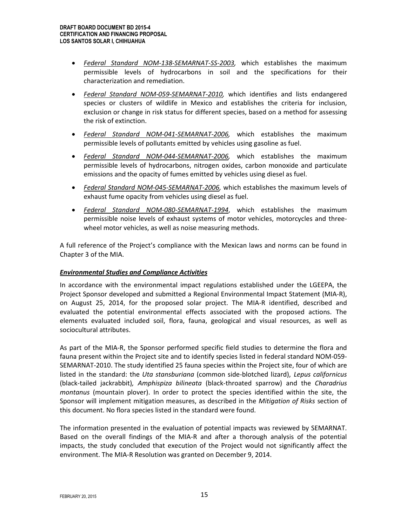- *Federal Standard NOM-138-SEMARNAT-SS-2003,* which establishes the maximum permissible levels of hydrocarbons in soil and the specifications for their characterization and remediation.
- *Federal Standard NOM-059-SEMARNAT-2010,* which identifies and lists endangered species or clusters of wildlife in Mexico and establishes the criteria for inclusion, exclusion or change in risk status for different species, based on a method for assessing the risk of extinction.
- *Federal Standard NOM-041-SEMARNAT-2006,* which establishes the maximum permissible levels of pollutants emitted by vehicles using gasoline as fuel.
- *Federal Standard NOM-044-SEMARNAT-2006,* which establishes the maximum permissible levels of hydrocarbons, nitrogen oxides, carbon monoxide and particulate emissions and the opacity of fumes emitted by vehicles using diesel as fuel.
- *Federal Standard NOM-045-SEMARNAT-2006,* which establishes the maximum levels of exhaust fume opacity from vehicles using diesel as fuel.
- *Federal Standard NOM-080-SEMARNAT-1994*, which establishes the maximum permissible noise levels of exhaust systems of motor vehicles, motorcycles and threewheel motor vehicles, as well as noise measuring methods.

A full reference of the Project's compliance with the Mexican laws and norms can be found in Chapter 3 of the MIA.

## *Environmental Studies and Compliance Activities*

In accordance with the environmental impact regulations established under the LGEEPA, the Project Sponsor developed and submitted a Regional Environmental Impact Statement (MIA‐R), on August 25, 2014, for the proposed solar project. The MIA-R identified, described and evaluated the potential environmental effects associated with the proposed actions. The elements evaluated included soil, flora, fauna, geological and visual resources, as well as sociocultural attributes.

As part of the MIA-R, the Sponsor performed specific field studies to determine the flora and fauna present within the Project site and to identify species listed in federal standard NOM-059- SEMARNAT-2010. The study identified 25 fauna species within the Project site, four of which are listed in the standard: the *Uta stansburiana* (common side-blotched lizard), *Lepus californicus* (black-tailed jackrabbit)*, Amphispiza bilineata* (black-throated sparrow) and the *Charadrius montanus* (mountain plover). In order to protect the species identified within the site, the Sponsor will implement mitigation measures, as described in the *Mitigation of Risks* section of this document. No flora species listed in the standard were found.

The information presented in the evaluation of potential impacts was reviewed by SEMARNAT. Based on the overall findings of the MIA-R and after a thorough analysis of the potential impacts, the study concluded that execution of the Project would not significantly affect the environment. The MIA-R Resolution was granted on December 9, 2014.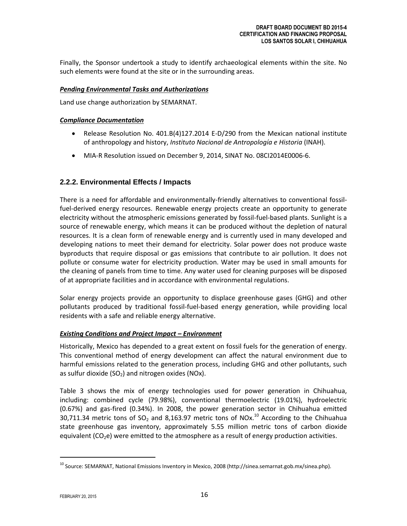Finally, the Sponsor undertook a study to identify archaeological elements within the site. No such elements were found at the site or in the surrounding areas.

## *Pending Environmental Tasks and Authorizations*

Land use change authorization by SEMARNAT.

#### *Compliance Documentation*

- Release Resolution No. 401.B(4)127.2014 E-D/290 from the Mexican national institute of anthropology and history, *Instituto Nacional de Antropología e Historia* (INAH).
- MIA-R Resolution issued on December 9, 2014, SINAT No. 08CI2014E0006-6.

# **2.2.2. Environmental Effects / Impacts**

There is a need for affordable and environmentally-friendly alternatives to conventional fossilfuel-derived energy resources. Renewable energy projects create an opportunity to generate electricity without the atmospheric emissions generated by fossil-fuel‐based plants. Sunlight is a source of renewable energy, which means it can be produced without the depletion of natural resources. It is a clean form of renewable energy and is currently used in many developed and developing nations to meet their demand for electricity. Solar power does not produce waste byproducts that require disposal or gas emissions that contribute to air pollution. It does not pollute or consume water for electricity production. Water may be used in small amounts for the cleaning of panels from time to time. Any water used for cleaning purposes will be disposed of at appropriate facilities and in accordance with environmental regulations.

Solar energy projects provide an opportunity to displace greenhouse gases (GHG) and other pollutants produced by traditional fossil-fuel‐based energy generation, while providing local residents with a safe and reliable energy alternative.

#### *Existing Conditions and Project Impact – Environment*

Historically, Mexico has depended to a great extent on fossil fuels for the generation of energy. This conventional method of energy development can affect the natural environment due to harmful emissions related to the generation process, including GHG and other pollutants, such as sulfur dioxide (SO<sub>2</sub>) and nitrogen oxides (NOx).

Table 3 shows the mix of energy technologies used for power generation in Chihuahua, including: combined cycle (79.98%), conventional thermoelectric (19.01%), hydroelectric (0.67%) and gas-fired (0.34%). In 2008, the power generation sector in Chihuahua emitted 30,711.34 metric tons of SO<sub>2</sub> and 8,163.97 metric tons of NOx.<sup>10</sup> According to the Chihuahua state greenhouse gas inventory, approximately 5.55 million metric tons of carbon dioxide equivalent  $(CO<sub>2</sub>e)$  were emitted to the atmosphere as a result of energy production activities.

 $\overline{a}$ 

<sup>&</sup>lt;sup>10</sup> Source: SEMARNAT, National Emissions Inventory in Mexico, 2008 (http://sinea.semarnat.gob.mx/sinea.php).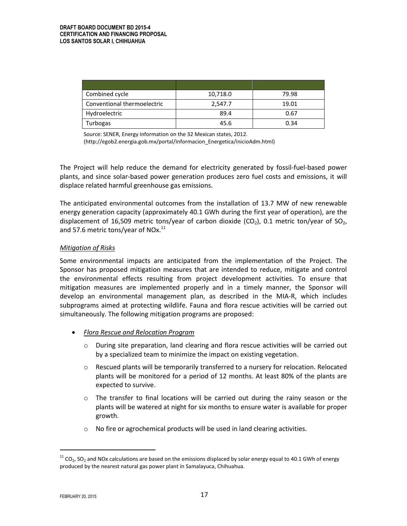| Combined cycle              | 10,718.0 | 79.98 |
|-----------------------------|----------|-------|
| Conventional thermoelectric | 2,547.7  | 19.01 |
| Hydroelectric               | 89.4     | 0.67  |
| Turbogas                    | 45.6     | 0.34  |

Source: SENER, Energy information on the 32 Mexican states, 2012.

(http://egob2.energia.gob.mx/portal/Informacion\_Energetica/inicioAdm.html)

The Project will help reduce the demand for electricity generated by fossil-fuel-based power plants, and since solar-based power generation produces zero fuel costs and emissions, it will displace related harmful greenhouse gas emissions.

The anticipated environmental outcomes from the installation of 13.7 MW of new renewable energy generation capacity (approximately 40.1 GWh during the first year of operation), are the displacement of 16,509 metric tons/year of carbon dioxide (CO<sub>2</sub>), 0.1 metric ton/year of SO<sub>2</sub>, and 57.6 metric tons/year of NOx. $^{11}$ 

#### *Mitigation of Risks*

Some environmental impacts are anticipated from the implementation of the Project. The Sponsor has proposed mitigation measures that are intended to reduce, mitigate and control the environmental effects resulting from project development activities. To ensure that mitigation measures are implemented properly and in a timely manner, the Sponsor will develop an environmental management plan, as described in the MIA-R, which includes subprograms aimed at protecting wildlife. Fauna and flora rescue activities will be carried out simultaneously. The following mitigation programs are proposed:

- *Flora Rescue and Relocation Program*
	- $\circ$  During site preparation, land clearing and flora rescue activities will be carried out by a specialized team to minimize the impact on existing vegetation.
	- $\circ$  Rescued plants will be temporarily transferred to a nursery for relocation. Relocated plants will be monitored for a period of 12 months. At least 80% of the plants are expected to survive.
	- o The transfer to final locations will be carried out during the rainy season or the plants will be watered at night for six months to ensure water is available for proper growth.
	- o No fire or agrochemical products will be used in land clearing activities.

 $^{11}$  CO<sub>2</sub>, SO<sub>2</sub> and NOx calculations are based on the emissions displaced by solar energy equal to 40.1 GWh of energy produced by the nearest natural gas power plant in Samalayuca, Chihuahua.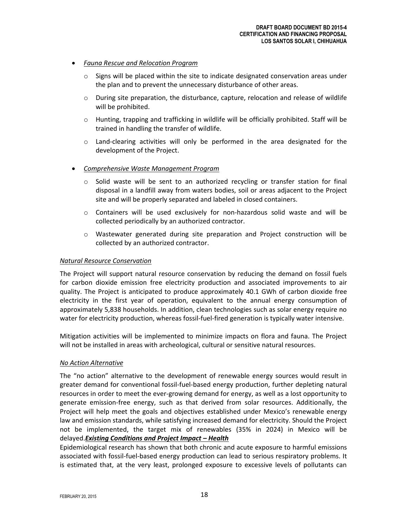- *Fauna Rescue and Relocation Program*
	- $\circ$  Signs will be placed within the site to indicate designated conservation areas under the plan and to prevent the unnecessary disturbance of other areas.
	- o During site preparation, the disturbance, capture, relocation and release of wildlife will be prohibited.
	- o Hunting, trapping and trafficking in wildlife will be officially prohibited. Staff will be trained in handling the transfer of wildlife.
	- o Land-clearing activities will only be performed in the area designated for the development of the Project.
- *Comprehensive Waste Management Program*
	- $\circ$  Solid waste will be sent to an authorized recycling or transfer station for final disposal in a landfill away from waters bodies, soil or areas adjacent to the Project site and will be properly separated and labeled in closed containers.
	- $\circ$  Containers will be used exclusively for non-hazardous solid waste and will be collected periodically by an authorized contractor.
	- o Wastewater generated during site preparation and Project construction will be collected by an authorized contractor.

#### *Natural Resource Conservation*

The Project will support natural resource conservation by reducing the demand on fossil fuels for carbon dioxide emission free electricity production and associated improvements to air quality. The Project is anticipated to produce approximately 40.1 GWh of carbon dioxide free electricity in the first year of operation, equivalent to the annual energy consumption of approximately 5,838 households. In addition, clean technologies such as solar energy require no water for electricity production, whereas fossil-fuel-fired generation is typically water intensive.

Mitigation activities will be implemented to minimize impacts on flora and fauna. The Project will not be installed in areas with archeological, cultural or sensitive natural resources.

#### *No Action Alternative*

The "no action" alternative to the development of renewable energy sources would result in greater demand for conventional fossil-fuel-based energy production, further depleting natural resources in order to meet the ever-growing demand for energy, as well as a lost opportunity to generate emission-free energy, such as that derived from solar resources. Additionally, the Project will help meet the goals and objectives established under Mexico's renewable energy law and emission standards, while satisfying increased demand for electricity. Should the Project not be implemented, the target mix of renewables (35% in 2024) in Mexico will be delayed.*Existing Conditions and Project Impact – Health*

Epidemiological research has shown that both chronic and acute exposure to harmful emissions associated with fossil-fuel-based energy production can lead to serious respiratory problems. It is estimated that, at the very least, prolonged exposure to excessive levels of pollutants can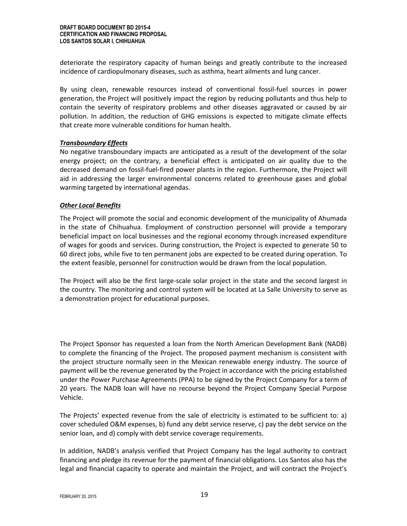deteriorate the respiratory capacity of human beings and greatly contribute to the increased incidence of cardiopulmonary diseases, such as asthma, heart ailments and lung cancer.

By using clean, renewable resources instead of conventional fossil-fuel sources in power generation, the Project will positively impact the region by reducing pollutants and thus help to contain the severity of respiratory problems and other diseases aggravated or caused by air pollution. In addition, the reduction of GHG emissions is expected to mitigate climate effects that create more vulnerable conditions for human health.

## *Transboundary Effects*

No negative transboundary impacts are anticipated as a result of the development of the solar energy project; on the contrary, a beneficial effect is anticipated on air quality due to the decreased demand on fossil-fuel-fired power plants in the region. Furthermore, the Project will aid in addressing the larger environmental concerns related to greenhouse gases and global warming targeted by international agendas.

#### *Other Local Benefits*

The Project will promote the social and economic development of the municipality of Ahumada in the state of Chihuahua. Employment of construction personnel will provide a temporary beneficial impact on local businesses and the regional economy through increased expenditure of wages for goods and services. During construction, the Project is expected to generate 50 to 60 direct jobs, while five to ten permanent jobs are expected to be created during operation. To the extent feasible, personnel for construction would be drawn from the local population.

The Project will also be the first large-scale solar project in the state and the second largest in the country. The monitoring and control system will be located at La Salle University to serve as a demonstration project for educational purposes.

The Project Sponsor has requested a loan from the North American Development Bank (NADB) to complete the financing of the Project. The proposed payment mechanism is consistent with the project structure normally seen in the Mexican renewable energy industry. The source of payment will be the revenue generated by the Project in accordance with the pricing established under the Power Purchase Agreements (PPA) to be signed by the Project Company for a term of 20 years. The NADB loan will have no recourse beyond the Project Company Special Purpose Vehicle.

The Projects' expected revenue from the sale of electricity is estimated to be sufficient to: a) cover scheduled O&M expenses, b) fund any debt service reserve, c) pay the debt service on the senior loan, and d) comply with debt service coverage requirements.

In addition, NADB's analysis verified that Project Company has the legal authority to contract financing and pledge its revenue for the payment of financial obligations. Los Santos also has the legal and financial capacity to operate and maintain the Project, and will contract the Project's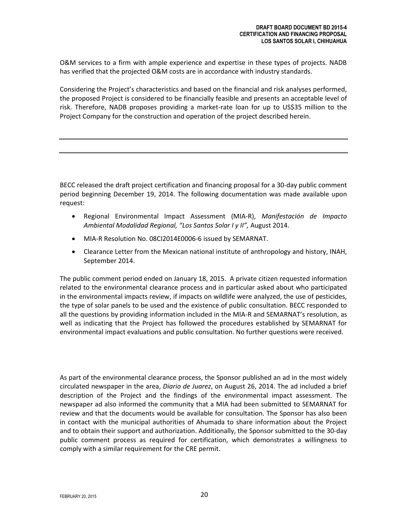O&M services to a firm with ample experience and expertise in these types of projects. NADB has verified that the projected O&M costs are in accordance with industry standards.

Considering the Project's characteristics and based on the financial and risk analyses performed, the proposed Project is considered to be financially feasible and presents an acceptable level of risk. Therefore, NADB proposes providing a market-rate loan for up to US\$35 million to the Project Company for the construction and operation of the project described herein.

BECC released the draft project certification and financing proposal for a 30-day public comment period beginning December 19, 2014. The following documentation was made available upon request:

- Regional Environmental Impact Assessment (MIA-R), *Manifestación de Impacto Ambiental Modalidad Regional, "Los Santos Solar I y II",* August 2014.
- MIA-R Resolution No. 08CI2014E0006-6 issued by SEMARNAT.
- Clearance Letter from the Mexican national institute of anthropology and history, INAH, September 2014.

The public comment period ended on January 18, 2015. A private citizen requested information related to the environmental clearance process and in particular asked about who participated in the environmental impacts review, if impacts on wildlife were analyzed, the use of pesticides, the type of solar panels to be used and the existence of public consultation. BECC responded to all the questions by providing information included in the MIA-R and SEMARNAT's resolution, as well as indicating that the Project has followed the procedures established by SEMARNAT for environmental impact evaluations and public consultation. No further questions were received.

As part of the environmental clearance process, the Sponsor published an ad in the most widely circulated newspaper in the area, *Diario de Juarez*, on August 26, 2014. The ad included a brief description of the Project and the findings of the environmental impact assessment. The newspaper ad also informed the community that a MIA had been submitted to SEMARNAT for review and that the documents would be available for consultation. The Sponsor has also been in contact with the municipal authorities of Ahumada to share information about the Project and to obtain their support and authorization. Additionally, the Sponsor submitted to the 30-day public comment process as required for certification, which demonstrates a willingness to comply with a similar requirement for the CRE permit.